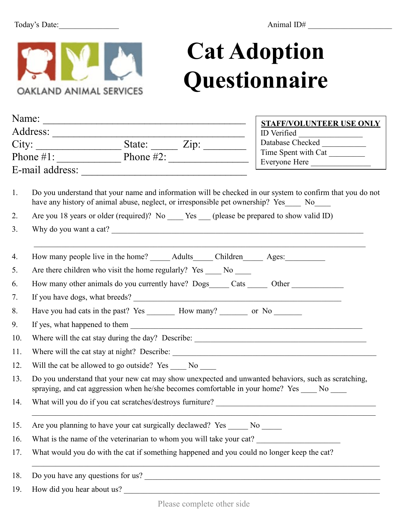

## **Cat Adoption Questionnaire**

| Name: |                                                                                                                                                                                                      |                         | <b>STAFF/VOLUNTEER USE ONLY</b> |  |  |
|-------|------------------------------------------------------------------------------------------------------------------------------------------------------------------------------------------------------|-------------------------|---------------------------------|--|--|
|       | Address:                                                                                                                                                                                             |                         | ID Verified                     |  |  |
|       |                                                                                                                                                                                                      |                         | Database Checked                |  |  |
|       | Phone $\#1$ :                                                                                                                                                                                        | $\frac{1}{2}$ Phone #2: | Time Spent with Cat             |  |  |
|       | E-mail address:                                                                                                                                                                                      |                         | Everyone Here                   |  |  |
| 1.    | Do you understand that your name and information will be checked in our system to confirm that you do not<br>have any history of animal abuse, neglect, or irresponsible pet ownership? Yes No       |                         |                                 |  |  |
| 2.    | Are you 18 years or older (required)? No _____ Yes ____ (please be prepared to show valid ID)                                                                                                        |                         |                                 |  |  |
| 3.    |                                                                                                                                                                                                      |                         |                                 |  |  |
| 4.    | How many people live in the home? _______ Adults_______ Children________ Ages:____________                                                                                                           |                         |                                 |  |  |
| 5.    | Are there children who visit the home regularly? Yes _____ No ____                                                                                                                                   |                         |                                 |  |  |
| 6.    | How many other animals do you currently have? Dogs_____ Cats ______ Other _____________                                                                                                              |                         |                                 |  |  |
| 7.    |                                                                                                                                                                                                      |                         |                                 |  |  |
| 8.    | Have you had cats in the past? Yes __________ How many? ___________ or No ________                                                                                                                   |                         |                                 |  |  |
| 9.    |                                                                                                                                                                                                      |                         |                                 |  |  |
| 10.   | Where will the cat stay during the day? Describe: _______________________________                                                                                                                    |                         |                                 |  |  |
| 11.   |                                                                                                                                                                                                      |                         |                                 |  |  |
| 12.   | Will the cat be allowed to go outside? Yes ______ No _____                                                                                                                                           |                         |                                 |  |  |
| 13.   | Do you understand that your new cat may show unexpected and unwanted behaviors, such as scratching,<br>spraying, and cat aggression when he/she becomes comfortable in your home? Yes _____ No _____ |                         |                                 |  |  |
| 14.   | What will you do if you cat scratches/destroys furniture?                                                                                                                                            |                         |                                 |  |  |
| 15.   | Are you planning to have your cat surgically declawed? Yes _____ No _____                                                                                                                            |                         |                                 |  |  |
| 16.   | What is the name of the veterinarian to whom you will take your cat?                                                                                                                                 |                         |                                 |  |  |
| 17.   | What would you do with the cat if something happened and you could no longer keep the cat?                                                                                                           |                         |                                 |  |  |
| 18.   | Do you have any questions for us?                                                                                                                                                                    |                         |                                 |  |  |
| 19.   | How did you hear about us?                                                                                                                                                                           |                         |                                 |  |  |